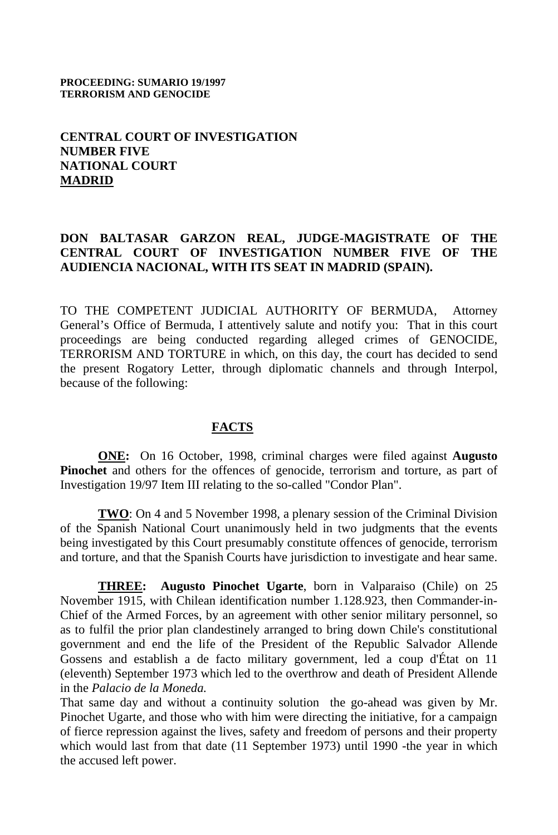#### **PROCEEDING: SUMARIO 19/1997 TERRORISM AND GENOCIDE**

# **CENTRAL COURT OF INVESTIGATION NUMBER FIVE NATIONAL COURT MADRID**

# **DON BALTASAR GARZON REAL, JUDGE-MAGISTRATE OF THE CENTRAL COURT OF INVESTIGATION NUMBER FIVE OF THE AUDIENCIA NACIONAL, WITH ITS SEAT IN MADRID (SPAIN).**

TO THE COMPETENT JUDICIAL AUTHORITY OF BERMUDA, Attorney General's Office of Bermuda, I attentively salute and notify you: That in this court proceedings are being conducted regarding alleged crimes of GENOCIDE, TERRORISM AND TORTURE in which, on this day, the court has decided to send the present Rogatory Letter, through diplomatic channels and through Interpol, because of the following:

### **FACTS**

**ONE:** On 16 October, 1998, criminal charges were filed against **Augusto Pinochet** and others for the offences of genocide, terrorism and torture, as part of Investigation 19/97 Item III relating to the so-called "Condor Plan".

**TWO**: On 4 and 5 November 1998, a plenary session of the Criminal Division of the Spanish National Court unanimously held in two judgments that the events being investigated by this Court presumably constitute offences of genocide, terrorism and torture, and that the Spanish Courts have jurisdiction to investigate and hear same.

**THREE: Augusto Pinochet Ugarte**, born in Valparaiso (Chile) on 25 November 1915, with Chilean identification number 1.128.923, then Commander-in-Chief of the Armed Forces, by an agreement with other senior military personnel, so as to fulfil the prior plan clandestinely arranged to bring down Chile's constitutional government and end the life of the President of the Republic Salvador Allende Gossens and establish a de facto military government, led a coup d'État on 11 (eleventh) September 1973 which led to the overthrow and death of President Allende in the *Palacio de la Moneda.*

That same day and without a continuity solution the go-ahead was given by Mr. Pinochet Ugarte, and those who with him were directing the initiative, for a campaign of fierce repression against the lives, safety and freedom of persons and their property which would last from that date (11 September 1973) until 1990 -the year in which the accused left power.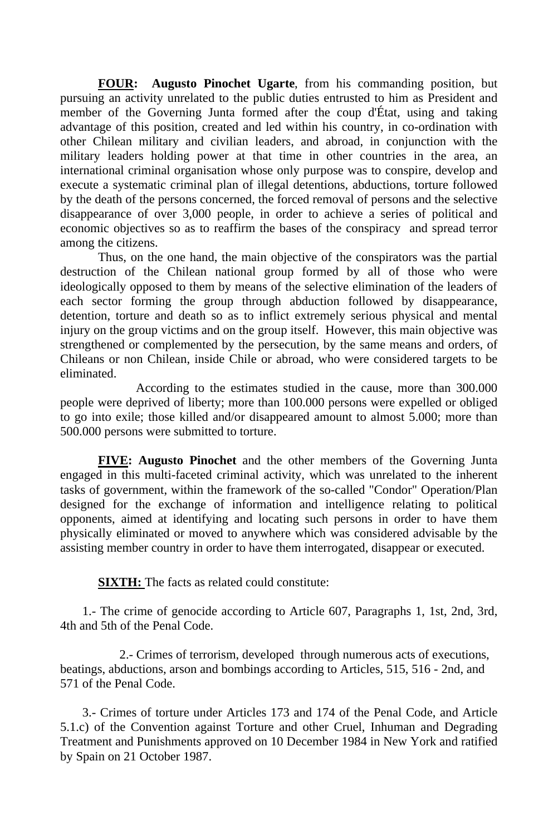**FOUR: Augusto Pinochet Ugarte**, from his commanding position, but pursuing an activity unrelated to the public duties entrusted to him as President and member of the Governing Junta formed after the coup d'État, using and taking advantage of this position, created and led within his country, in co-ordination with other Chilean military and civilian leaders, and abroad, in conjunction with the military leaders holding power at that time in other countries in the area, an international criminal organisation whose only purpose was to conspire, develop and execute a systematic criminal plan of illegal detentions, abductions, torture followed by the death of the persons concerned, the forced removal of persons and the selective disappearance of over 3,000 people, in order to achieve a series of political and economic objectives so as to reaffirm the bases of the conspiracy and spread terror among the citizens.

Thus, on the one hand, the main objective of the conspirators was the partial destruction of the Chilean national group formed by all of those who were ideologically opposed to them by means of the selective elimination of the leaders of each sector forming the group through abduction followed by disappearance, detention, torture and death so as to inflict extremely serious physical and mental injury on the group victims and on the group itself. However, this main objective was strengthened or complemented by the persecution, by the same means and orders, of Chileans or non Chilean, inside Chile or abroad, who were considered targets to be eliminated.

According to the estimates studied in the cause, more than 300.000 people were deprived of liberty; more than 100.000 persons were expelled or obliged to go into exile; those killed and/or disappeared amount to almost 5.000; more than 500.000 persons were submitted to torture.

**FIVE: Augusto Pinochet** and the other members of the Governing Junta engaged in this multi-faceted criminal activity, which was unrelated to the inherent tasks of government, within the framework of the so-called "Condor" Operation/Plan designed for the exchange of information and intelligence relating to political opponents, aimed at identifying and locating such persons in order to have them physically eliminated or moved to anywhere which was considered advisable by the assisting member country in order to have them interrogated, disappear or executed.

**SIXTH:** The facts as related could constitute:

 1.- The crime of genocide according to Article 607, Paragraphs 1, 1st, 2nd, 3rd, 4th and 5th of the Penal Code.

 2.- Crimes of terrorism, developed through numerous acts of executions, beatings, abductions, arson and bombings according to Articles, 515, 516 - 2nd, and 571 of the Penal Code.

 3.- Crimes of torture under Articles 173 and 174 of the Penal Code, and Article 5.1.c) of the Convention against Torture and other Cruel, Inhuman and Degrading Treatment and Punishments approved on 10 December 1984 in New York and ratified by Spain on 21 October 1987.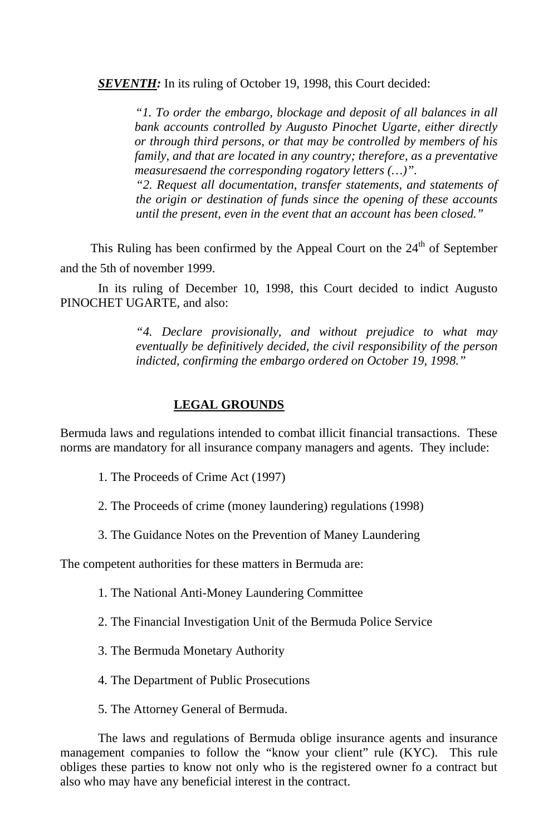**SEVENTH:** In its ruling of October 19, 1998, this Court decided:

*"1. To order the embargo, blockage and deposit of all balances in all bank accounts controlled by Augusto Pinochet Ugarte, either directly or through third persons, or that may be controlled by members of his family, and that are located in any country; therefore, as a preventative measuresaend the corresponding rogatory letters (…)".*

*"2. Request all documentation, transfer statements, and statements of the origin or destination of funds since the opening of these accounts until the present, even in the event that an account has been closed."*

This Ruling has been confirmed by the Appeal Court on the  $24<sup>th</sup>$  of September and the 5th of november 1999.

In its ruling of December 10, 1998, this Court decided to indict Augusto PINOCHET UGARTE, and also:

> *"4. Declare provisionally, and without prejudice to what may eventually be definitively decided, the civil responsibility of the person indicted, confirming the embargo ordered on October 19, 1998."*

## **LEGAL GROUNDS**

Bermuda laws and regulations intended to combat illicit financial transactions. These norms are mandatory for all insurance company managers and agents. They include:

- 1. The Proceeds of Crime Act (1997)
- 2. The Proceeds of crime (money laundering) regulations (1998)
- 3. The Guidance Notes on the Prevention of Maney Laundering

The competent authorities for these matters in Bermuda are:

- 1. The National Anti-Money Laundering Committee
- 2. The Financial Investigation Unit of the Bermuda Police Service
- 3. The Bermuda Monetary Authority
- 4. The Department of Public Prosecutions
- 5. The Attorney General of Bermuda.

The laws and regulations of Bermuda oblige insurance agents and insurance management companies to follow the "know your client" rule (KYC). This rule obliges these parties to know not only who is the registered owner fo a contract but also who may have any beneficial interest in the contract.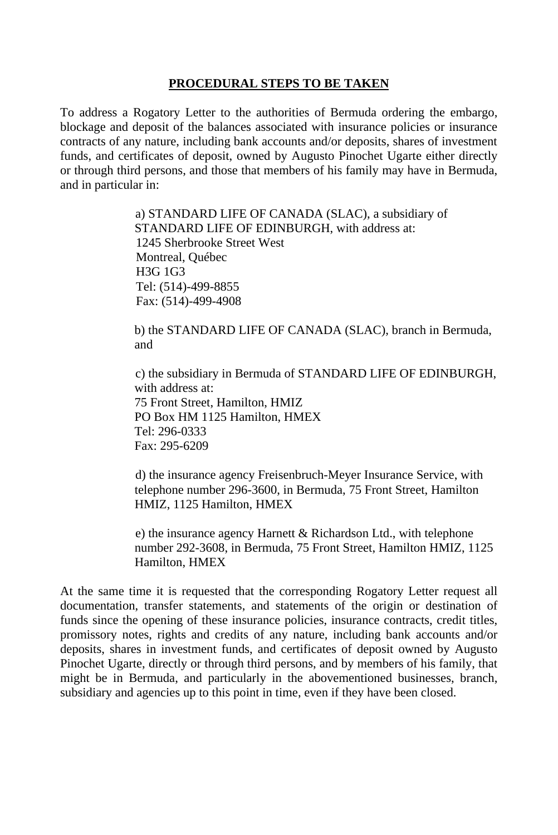### **PROCEDURAL STEPS TO BE TAKEN**

To address a Rogatory Letter to the authorities of Bermuda ordering the embargo, blockage and deposit of the balances associated with insurance policies or insurance contracts of any nature, including bank accounts and/or deposits, shares of investment funds, and certificates of deposit, owned by Augusto Pinochet Ugarte either directly or through third persons, and those that members of his family may have in Bermuda, and in particular in:

> a) STANDARD LIFE OF CANADA (SLAC), a subsidiary of STANDARD LIFE OF EDINBURGH, with address at: 1245 Sherbrooke Street West Montreal, Québec H3G 1G3 Tel: (514)-499-8855 Fax: (514)-499-4908

b) the STANDARD LIFE OF CANADA (SLAC), branch in Bermuda, and

c) the subsidiary in Bermuda of STANDARD LIFE OF EDINBURGH, with address at: 75 Front Street, Hamilton, HMIZ PO Box HM 1125 Hamilton, HMEX Tel: 296-0333 Fax: 295-6209

d) the insurance agency Freisenbruch-Meyer Insurance Service, with telephone number 296-3600, in Bermuda, 75 Front Street, Hamilton HMIZ, 1125 Hamilton, HMEX

e) the insurance agency Harnett & Richardson Ltd., with telephone number 292-3608, in Bermuda, 75 Front Street, Hamilton HMIZ, 1125 Hamilton, HMEX

At the same time it is requested that the corresponding Rogatory Letter request all documentation, transfer statements, and statements of the origin or destination of funds since the opening of these insurance policies, insurance contracts, credit titles, promissory notes, rights and credits of any nature, including bank accounts and/or deposits, shares in investment funds, and certificates of deposit owned by Augusto Pinochet Ugarte, directly or through third persons, and by members of his family, that might be in Bermuda, and particularly in the abovementioned businesses, branch, subsidiary and agencies up to this point in time, even if they have been closed.